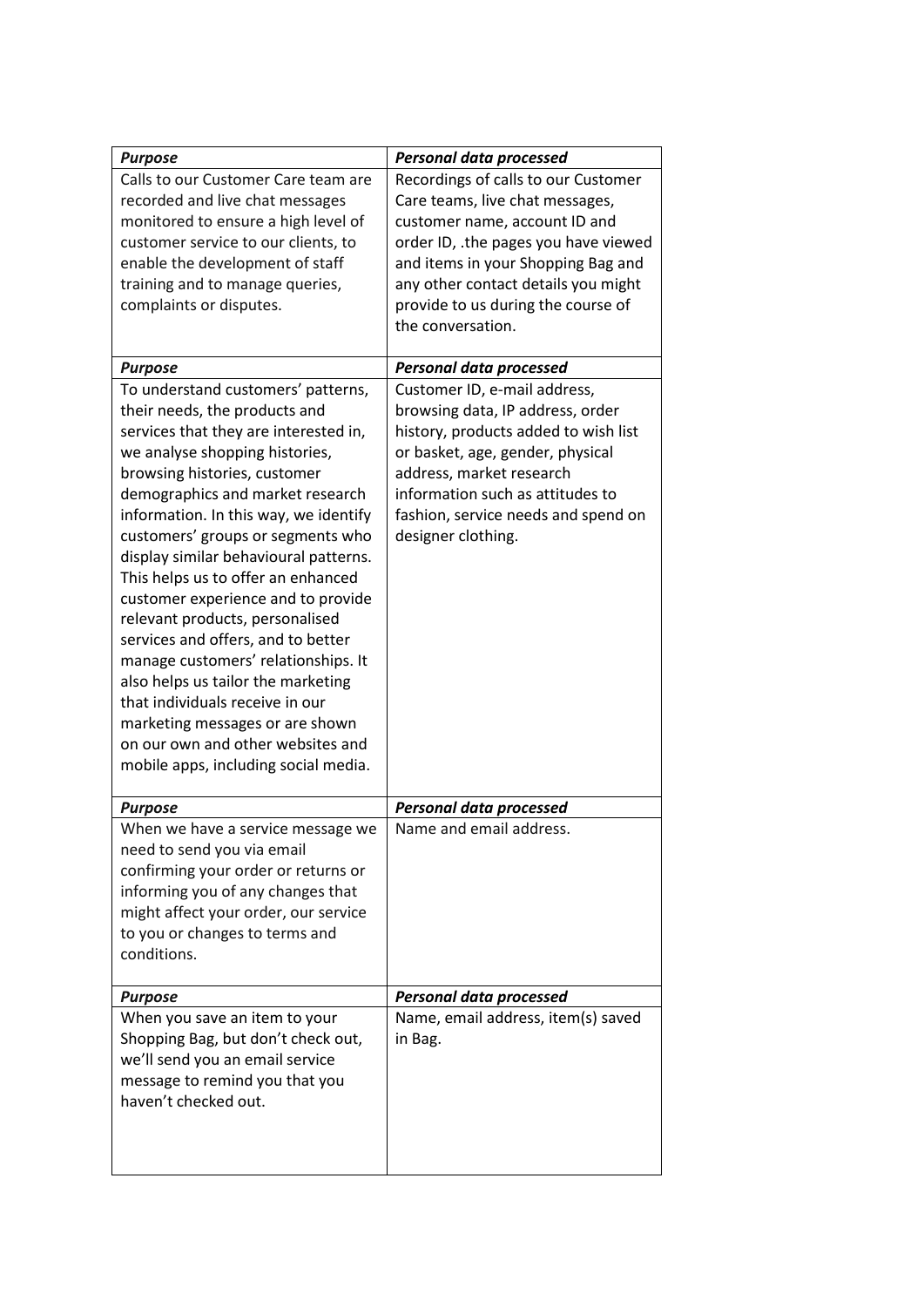| <b>Purpose</b>                                                                                                                                                                                                                                                                                                                                                                                                                                                                                                                                                                                                                                                                                                                                                                                                                                                                                                               | <b>Personal data processed</b>                                                                                                                                                                                                                                                                                                                                                                                                                                                                                                                                                                         |
|------------------------------------------------------------------------------------------------------------------------------------------------------------------------------------------------------------------------------------------------------------------------------------------------------------------------------------------------------------------------------------------------------------------------------------------------------------------------------------------------------------------------------------------------------------------------------------------------------------------------------------------------------------------------------------------------------------------------------------------------------------------------------------------------------------------------------------------------------------------------------------------------------------------------------|--------------------------------------------------------------------------------------------------------------------------------------------------------------------------------------------------------------------------------------------------------------------------------------------------------------------------------------------------------------------------------------------------------------------------------------------------------------------------------------------------------------------------------------------------------------------------------------------------------|
| Calls to our Customer Care team are<br>recorded and live chat messages<br>monitored to ensure a high level of<br>customer service to our clients, to<br>enable the development of staff<br>training and to manage queries,<br>complaints or disputes.<br><b>Purpose</b><br>To understand customers' patterns,<br>their needs, the products and<br>services that they are interested in,<br>we analyse shopping histories,<br>browsing histories, customer<br>demographics and market research<br>information. In this way, we identify<br>customers' groups or segments who<br>display similar behavioural patterns.<br>This helps us to offer an enhanced<br>customer experience and to provide<br>relevant products, personalised<br>services and offers, and to better<br>manage customers' relationships. It<br>also helps us tailor the marketing<br>that individuals receive in our<br>marketing messages or are shown | Recordings of calls to our Customer<br>Care teams, live chat messages,<br>customer name, account ID and<br>order ID, .the pages you have viewed<br>and items in your Shopping Bag and<br>any other contact details you might<br>provide to us during the course of<br>the conversation.<br><b>Personal data processed</b><br>Customer ID, e-mail address,<br>browsing data, IP address, order<br>history, products added to wish list<br>or basket, age, gender, physical<br>address, market research<br>information such as attitudes to<br>fashion, service needs and spend on<br>designer clothing. |
| mobile apps, including social media.                                                                                                                                                                                                                                                                                                                                                                                                                                                                                                                                                                                                                                                                                                                                                                                                                                                                                         |                                                                                                                                                                                                                                                                                                                                                                                                                                                                                                                                                                                                        |
| <b>Purpose</b>                                                                                                                                                                                                                                                                                                                                                                                                                                                                                                                                                                                                                                                                                                                                                                                                                                                                                                               | <b>Personal data processed</b>                                                                                                                                                                                                                                                                                                                                                                                                                                                                                                                                                                         |
| When we have a service message we<br>need to send you via email<br>confirming your order or returns or<br>informing you of any changes that<br>might affect your order, our service<br>to you or changes to terms and<br>conditions.                                                                                                                                                                                                                                                                                                                                                                                                                                                                                                                                                                                                                                                                                         | Name and email address.                                                                                                                                                                                                                                                                                                                                                                                                                                                                                                                                                                                |
| <b>Purpose</b>                                                                                                                                                                                                                                                                                                                                                                                                                                                                                                                                                                                                                                                                                                                                                                                                                                                                                                               | <b>Personal data processed</b>                                                                                                                                                                                                                                                                                                                                                                                                                                                                                                                                                                         |
| When you save an item to your<br>Shopping Bag, but don't check out,<br>we'll send you an email service<br>message to remind you that you<br>haven't checked out.                                                                                                                                                                                                                                                                                                                                                                                                                                                                                                                                                                                                                                                                                                                                                             | Name, email address, item(s) saved<br>in Bag.                                                                                                                                                                                                                                                                                                                                                                                                                                                                                                                                                          |